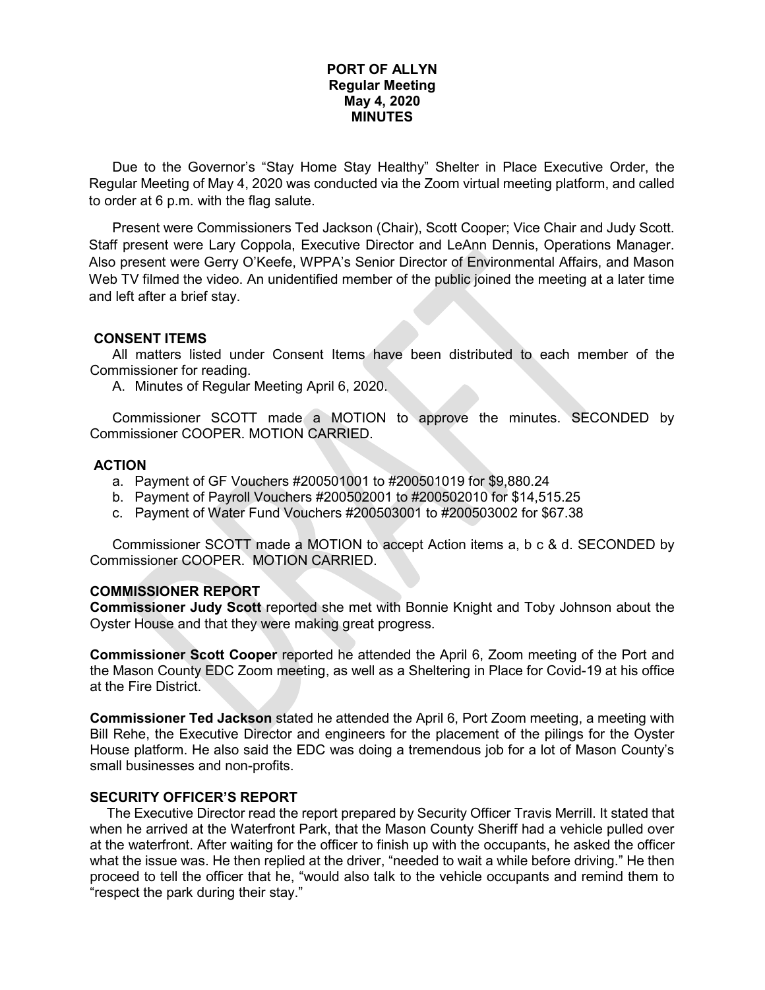# **PORT OF ALLYN Regular Meeting May 4, 2020 MINUTES**

Due to the Governor's "Stay Home Stay Healthy" Shelter in Place Executive Order, the Regular Meeting of May 4, 2020 was conducted via the Zoom virtual meeting platform, and called to order at 6 p.m. with the flag salute.

Present were Commissioners Ted Jackson (Chair), Scott Cooper; Vice Chair and Judy Scott. Staff present were Lary Coppola, Executive Director and LeAnn Dennis, Operations Manager. Also present were Gerry O'Keefe, WPPA's Senior Director of Environmental Affairs, and Mason Web TV filmed the video. An unidentified member of the public joined the meeting at a later time and left after a brief stay.

# **CONSENT ITEMS**

All matters listed under Consent Items have been distributed to each member of the Commissioner for reading.

A. Minutes of Regular Meeting April 6, 2020.

Commissioner SCOTT made a MOTION to approve the minutes. SECONDED by Commissioner COOPER. MOTION CARRIED.

#### **ACTION**

- a. Payment of GF Vouchers #200501001 to #200501019 for \$9,880.24
- b. Payment of Payroll Vouchers #200502001 to #200502010 for \$14,515.25
- c. Payment of Water Fund Vouchers #200503001 to #200503002 for \$67.38

Commissioner SCOTT made a MOTION to accept Action items a, b c & d. SECONDED by Commissioner COOPER. MOTION CARRIED.

#### **COMMISSIONER REPORT**

**Commissioner Judy Scott** reported she met with Bonnie Knight and Toby Johnson about the Oyster House and that they were making great progress.

**Commissioner Scott Cooper** reported he attended the April 6, Zoom meeting of the Port and the Mason County EDC Zoom meeting, as well as a Sheltering in Place for Covid-19 at his office at the Fire District.

**Commissioner Ted Jackson** stated he attended the April 6, Port Zoom meeting, a meeting with Bill Rehe, the Executive Director and engineers for the placement of the pilings for the Oyster House platform. He also said the EDC was doing a tremendous job for a lot of Mason County's small businesses and non-profits.

# **SECURITY OFFICER'S REPORT**

The Executive Director read the report prepared by Security Officer Travis Merrill. It stated that when he arrived at the Waterfront Park, that the Mason County Sheriff had a vehicle pulled over at the waterfront. After waiting for the officer to finish up with the occupants, he asked the officer what the issue was. He then replied at the driver, "needed to wait a while before driving." He then proceed to tell the officer that he, "would also talk to the vehicle occupants and remind them to "respect the park during their stay."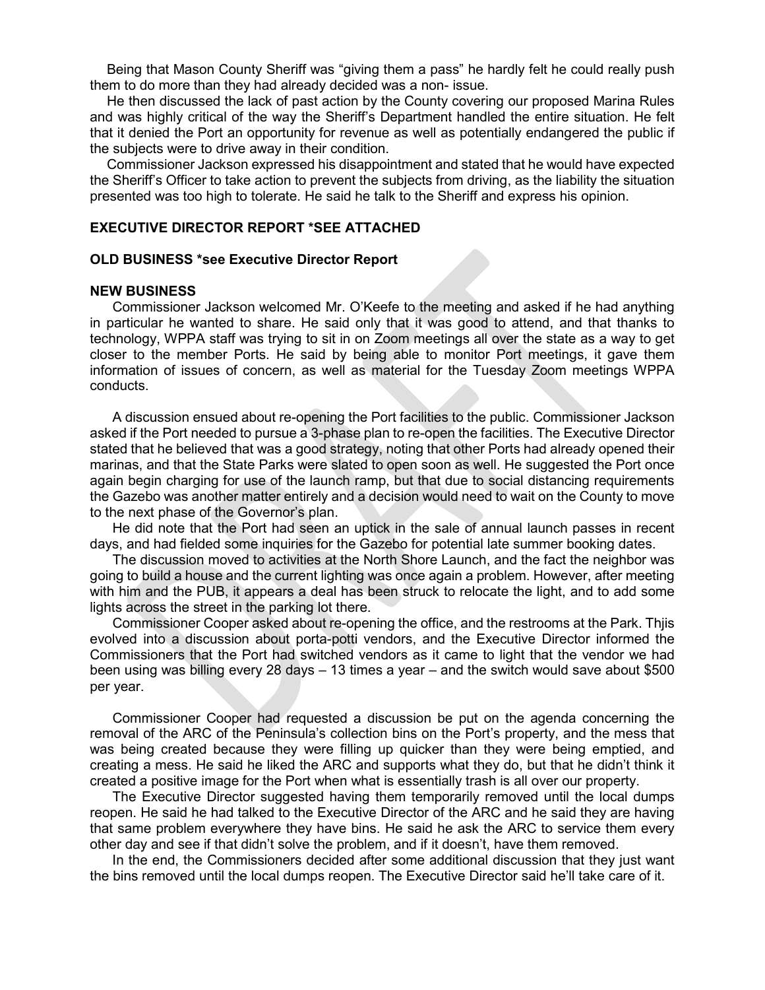Being that Mason County Sheriff was "giving them a pass" he hardly felt he could really push them to do more than they had already decided was a non- issue.

He then discussed the lack of past action by the County covering our proposed Marina Rules and was highly critical of the way the Sheriff's Department handled the entire situation. He felt that it denied the Port an opportunity for revenue as well as potentially endangered the public if the subjects were to drive away in their condition.

Commissioner Jackson expressed his disappointment and stated that he would have expected the Sheriff's Officer to take action to prevent the subjects from driving, as the liability the situation presented was too high to tolerate. He said he talk to the Sheriff and express his opinion.

# **EXECUTIVE DIRECTOR REPORT \*SEE ATTACHED**

#### **OLD BUSINESS \*see Executive Director Report**

#### **NEW BUSINESS**

Commissioner Jackson welcomed Mr. O'Keefe to the meeting and asked if he had anything in particular he wanted to share. He said only that it was good to attend, and that thanks to technology, WPPA staff was trying to sit in on Zoom meetings all over the state as a way to get closer to the member Ports. He said by being able to monitor Port meetings, it gave them information of issues of concern, as well as material for the Tuesday Zoom meetings WPPA conducts.

A discussion ensued about re-opening the Port facilities to the public. Commissioner Jackson asked if the Port needed to pursue a 3-phase plan to re-open the facilities. The Executive Director stated that he believed that was a good strategy, noting that other Ports had already opened their marinas, and that the State Parks were slated to open soon as well. He suggested the Port once again begin charging for use of the launch ramp, but that due to social distancing requirements the Gazebo was another matter entirely and a decision would need to wait on the County to move to the next phase of the Governor's plan.

He did note that the Port had seen an uptick in the sale of annual launch passes in recent days, and had fielded some inquiries for the Gazebo for potential late summer booking dates.

The discussion moved to activities at the North Shore Launch, and the fact the neighbor was going to build a house and the current lighting was once again a problem. However, after meeting with him and the PUB, it appears a deal has been struck to relocate the light, and to add some lights across the street in the parking lot there.

Commissioner Cooper asked about re-opening the office, and the restrooms at the Park. Thjis evolved into a discussion about porta-potti vendors, and the Executive Director informed the Commissioners that the Port had switched vendors as it came to light that the vendor we had been using was billing every 28 days – 13 times a year – and the switch would save about \$500 per year.

Commissioner Cooper had requested a discussion be put on the agenda concerning the removal of the ARC of the Peninsula's collection bins on the Port's property, and the mess that was being created because they were filling up quicker than they were being emptied, and creating a mess. He said he liked the ARC and supports what they do, but that he didn't think it created a positive image for the Port when what is essentially trash is all over our property.

The Executive Director suggested having them temporarily removed until the local dumps reopen. He said he had talked to the Executive Director of the ARC and he said they are having that same problem everywhere they have bins. He said he ask the ARC to service them every other day and see if that didn't solve the problem, and if it doesn't, have them removed.

In the end, the Commissioners decided after some additional discussion that they just want the bins removed until the local dumps reopen. The Executive Director said he'll take care of it.